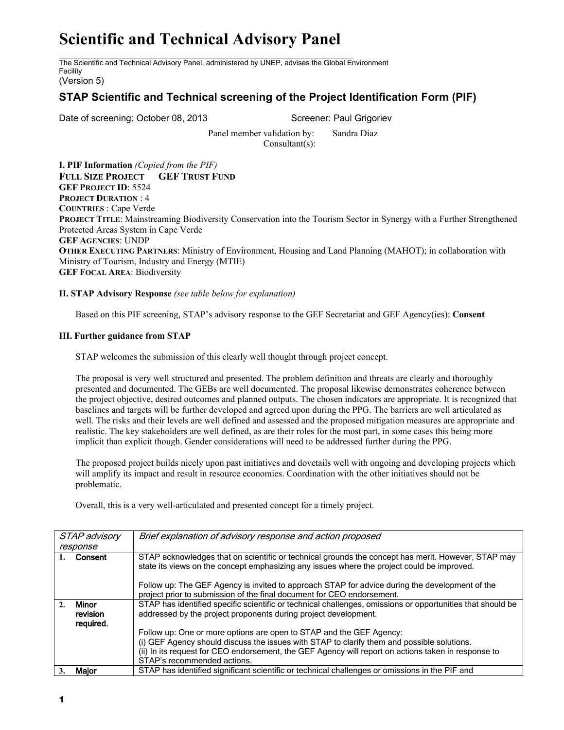## **Scientific and Technical Advisory Panel**

The Scientific and Technical Advisory Panel, administered by UNEP, advises the Global Environment Facility

(Version 5)

## **STAP Scientific and Technical screening of the Project Identification Form (PIF)**

Date of screening: October 08, 2013 Screener: Paul Grigoriev

Panel member validation by: Sandra Diaz Consultant(s):

**I. PIF Information** *(Copied from the PIF)* **FULL SIZE PROJECT GEF TRUST FUND GEF PROJECT ID**: 5524 **PROJECT DURATION** : 4 **COUNTRIES** : Cape Verde **PROJECT TITLE**: Mainstreaming Biodiversity Conservation into the Tourism Sector in Synergy with a Further Strengthened Protected Areas System in Cape Verde **GEF AGENCIES**: UNDP **OTHER EXECUTING PARTNERS**: Ministry of Environment, Housing and Land Planning (MAHOT); in collaboration with Ministry of Tourism, Industry and Energy (MTIE) **GEF FOCAL AREA**: Biodiversity

## **II. STAP Advisory Response** *(see table below for explanation)*

Based on this PIF screening, STAP's advisory response to the GEF Secretariat and GEF Agency(ies): **Consent**

## **III. Further guidance from STAP**

STAP welcomes the submission of this clearly well thought through project concept.

The proposal is very well structured and presented. The problem definition and threats are clearly and thoroughly presented and documented. The GEBs are well documented. The proposal likewise demonstrates coherence between the project objective, desired outcomes and planned outputs. The chosen indicators are appropriate. It is recognized that baselines and targets will be further developed and agreed upon during the PPG. The barriers are well articulated as well. The risks and their levels are well defined and assessed and the proposed mitigation measures are appropriate and realistic. The key stakeholders are well defined, as are their roles for the most part, in some cases this being more implicit than explicit though. Gender considerations will need to be addressed further during the PPG.

The proposed project builds nicely upon past initiatives and dovetails well with ongoing and developing projects which will amplify its impact and result in resource economies. Coordination with the other initiatives should not be problematic.

Overall, this is a very well-articulated and presented concept for a timely project.

| STAP advisory                  | Brief explanation of advisory response and action proposed                                                                                                                                       |
|--------------------------------|--------------------------------------------------------------------------------------------------------------------------------------------------------------------------------------------------|
| response                       |                                                                                                                                                                                                  |
| Consent                        | STAP acknowledges that on scientific or technical grounds the concept has merit. However, STAP may<br>state its views on the concept emphasizing any issues where the project could be improved. |
|                                | Follow up: The GEF Agency is invited to approach STAP for advice during the development of the                                                                                                   |
|                                | project prior to submission of the final document for CEO endorsement.                                                                                                                           |
| Minor<br>revision<br>required. | STAP has identified specific scientific or technical challenges, omissions or opportunities that should be<br>addressed by the project proponents during project development.                    |
|                                | Follow up: One or more options are open to STAP and the GEF Agency:                                                                                                                              |
|                                | (i) GEF Agency should discuss the issues with STAP to clarify them and possible solutions.                                                                                                       |
|                                | (ii) In its request for CEO endorsement, the GEF Agency will report on actions taken in response to                                                                                              |
|                                | STAP's recommended actions.                                                                                                                                                                      |
| Maior                          | STAP has identified significant scientific or technical challenges or omissions in the PIF and                                                                                                   |